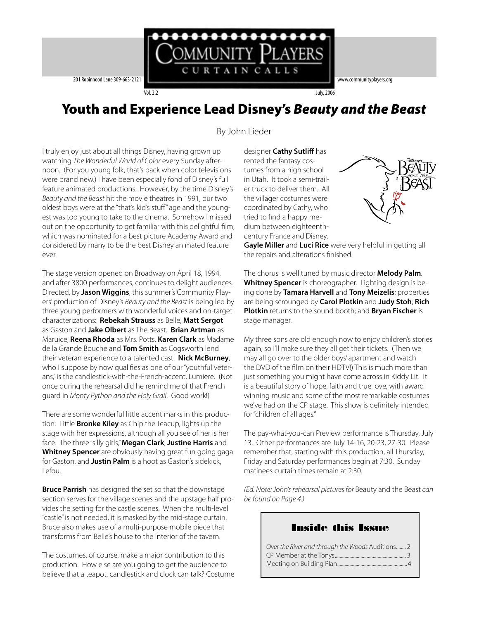

# Youth and Experience Lead Disney's Beauty and the Beast

By John Lieder

I truly enjoy just about all things Disney, having grown up watching The Wonderful World of Color every Sunday afternoon. (For you young folk, that's back when color televisions were brand new.) I have been especially fond of Disney's full feature animated productions. However, by the time Disney's Beauty and the Beast hit the movie theatres in 1991, our two oldest boys were at the "that's kid's stuff" age and the youngest was too young to take to the cinema. Somehow I missed out on the opportunity to get familiar with this delightful film, which was nominated for a best picture Academy Award and considered by many to be the best Disney animated feature ever.

The stage version opened on Broadway on April 18, 1994, and after 3800 performances, continues to delight audiences. Directed, by **Jason Wiggins**, this summer's Community Players' production of Disney's Beauty and the Beast is being led by three young performers with wonderful voices and on-target characterizations: **Rebekah Strauss** as Belle, **Matt Sergot** as Gaston and **Jake Olbert** as The Beast. **Brian Artman** as Maruice, **Reena Rhoda** as Mrs. Potts, **Karen Clark** as Madame de la Grande Bouche and **Tom Smith** as Cogsworth lend their veteran experience to a talented cast. **Nick McBurney**, who I suppose by now qualifies as one of our "youthful veterans," is the candlestick-with-the-French-accent, Lumiere. (Not once during the rehearsal did he remind me of that French guard in Monty Python and the Holy Grail. Good work!)

There are some wonderful little accent marks in this production: Little **Bronke Kiley** as Chip the Teacup, lights up the stage with her expressions, although all you see of her is her face. The three "silly girls," **Megan Clark**, **Justine Harris** and **Whitney Spencer** are obviously having great fun going gaga for Gaston, and **Justin Palm** is a hoot as Gaston's sidekick, Lefou.

**Bruce Parrish** has designed the set so that the downstage section serves for the village scenes and the upstage half provides the setting for the castle scenes. When the multi-level "castle" is not needed, it is masked by the mid-stage curtain. Bruce also makes use of a multi-purpose mobile piece that transforms from Belle's house to the interior of the tavern.

The costumes, of course, make a major contribution to this production. How else are you going to get the audience to believe that a teapot, candlestick and clock can talk? Costume

designer **Cathy Sutliff** has rented the fantasy costumes from a high school in Utah. It took a semi-trailer truck to deliver them. All the villager costumes were coordinated by Cathy, who tried to find a happy medium between eighteenthcentury France and Disney.



**Gayle Miller** and **Luci Rice** were very helpful in getting all the repairs and alterations finished.

The chorus is well tuned by music director **Melody Palm**. **Whitney Spencer** is choreographer. Lighting design is being done by **Tamara Harvell** and **Tony Meizelis**; properties are being scrounged by **Carol Plotkin** and **Judy Stoh**; **Rich Plotkin** returns to the sound booth; and **Bryan Fischer** is stage manager.

My three sons are old enough now to enjoy children's stories again, so I'll make sure they all get their tickets. (Then we may all go over to the older boys' apartment and watch the DVD of the film on their HDTV!) This is much more than just something you might have come across in Kiddy Lit. It is a beautiful story of hope, faith and true love, with award winning music and some of the most remarkable costumes we've had on the CP stage. This show is definitely intended for "children of all ages."

The pay-what-you-can Preview performance is Thursday, July 13. Other performances are July 14-16, 20-23, 27-30. Please remember that, starting with this production, all Thursday, Friday and Saturday performances begin at 7:30. Sunday matinees curtain times remain at 2:30.

(Ed. Note: John's rehearsal pictures for Beauty and the Beast can be found on Page 4.)

### Inside this Issue

| Over the River and through the Woods Auditions 2 |  |
|--------------------------------------------------|--|
|                                                  |  |
|                                                  |  |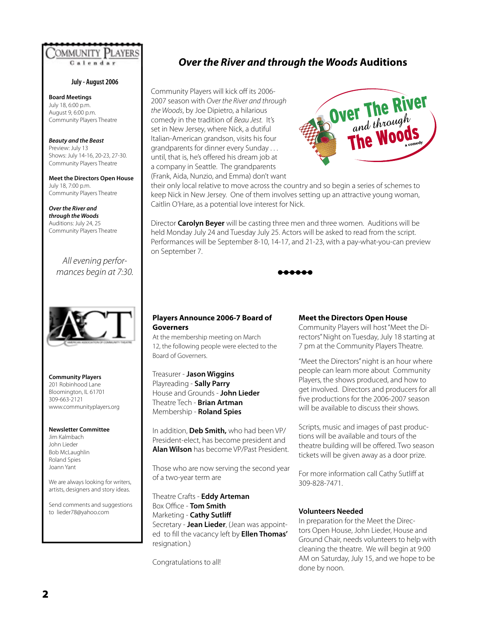

#### **July - August 2006**

**Board Meetings** July 18, 6:00 p.m. August 9, 6:00 p.m. Community Players Theatre

**Beauty and the Beast** Preview: July 13 Shows: July 14-16, 20-23, 27-30. Community Players Theatre

**Meet the Directors Open House** July 18, 7:00 p.m. Community Players Theatre

**Over the River and through the Woods** Auditions: July 24, 25 Community Players Theatre

### All evening performances begin at 7:30.



**Community Players** 201 Robinhood Lane Bloomington, IL 61701 309-663-2121 www.communityplayers.org

#### **Newsletter Committee**

Jim Kalmbach John Lieder Bob McLaughlin Roland Spies Joann Yant

We are always looking for writers, artists, designers and story ideas.

Send comments and suggestions to lieder78@yahoo.com

## **Over the River and through the Woods Auditions**

Community Players will kick off its 2006- 2007 season with Over the River and through the Woods, by Joe Dipietro, a hilarious comedy in the tradition of Beau Jest. It's set in New Jersey, where Nick, a dutiful Italian-American grandson, visits his four grandparents for dinner every Sunday . . . until, that is, he's offered his dream job at a company in Seattle. The grandparents (Frank, Aida, Nunzio, and Emma) don't want



their only local relative to move across the country and so begin a series of schemes to keep Nick in New Jersey. One of them involves setting up an attractive young woman, Caitlin O'Hare, as a potential love interest for Nick.

Director **Carolyn Beyer** will be casting three men and three women. Auditions will be held Monday July 24 and Tuesday July 25. Actors will be asked to read from the script. Performances will be September 8-10, 14-17, and 21-23, with a pay-what-you-can preview on September 7.



#### **Players Announce 2006-7 Board of Governers**

At the membership meeting on March 12, the following people were elected to the Board of Governers.

Treasurer - **Jason Wiggins** Playreading - **Sally Parry** House and Grounds - **John Lieder** Theatre Tech - **Brian Artman** Membership - **Roland Spies**

In addition, **Deb Smith,** who had been VP/ President-elect, has become president and **Alan Wilson** has become VP/Past President.

Those who are now serving the second year of a two-year term are

Theatre Crafts - **Eddy Arteman Box Office - Tom Smith** Marketing - **Cathy Sutliff**  Secretary - **Jean Lieder**, (Jean was appointed to fill the vacancy left by **Ellen Thomas'** resignation.)

Congratulations to all!

#### **Meet the Directors Open House**

Community Players will host "Meet the Directors" Night on Tuesday, July 18 starting at 7 pm at the Community Players Theatre.

"Meet the Directors" night is an hour where people can learn more about Community Players, the shows produced, and how to get involved. Directors and producers for all five productions for the 2006-2007 season will be available to discuss their shows.

Scripts, music and images of past productions will be available and tours of the theatre building will be offered. Two season tickets will be given away as a door prize.

For more information call Cathy Sutliff at 309-828-7471.

#### **Volunteers Needed**

In preparation for the Meet the Directors Open House, John Lieder, House and Ground Chair, needs volunteers to help with cleaning the theatre. We will begin at 9:00 AM on Saturday, July 15, and we hope to be done by noon.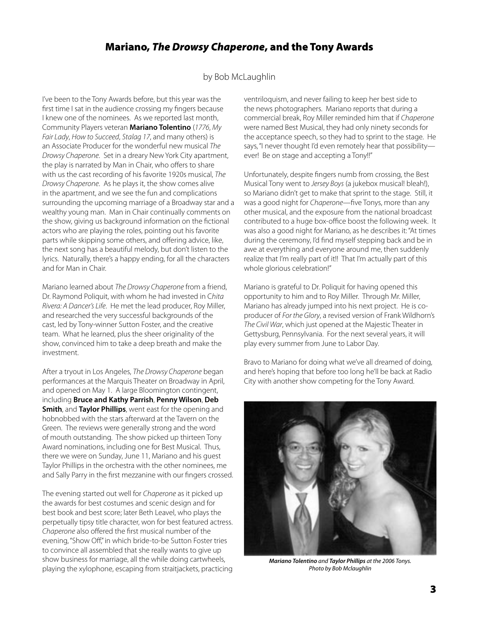# Mariano, The Drowsy Chaperone, and the Tony Awards

### by Bob McLaughlin

I've been to the Tony Awards before, but this year was the first time I sat in the audience crossing my fingers because I knew one of the nominees. As we reported last month, Community Players veteran **Mariano Tolentino** (1776, My Fair Lady, How to Succeed, Stalag 17, and many others) is an Associate Producer for the wonderful new musical The Drowsy Chaperone. Set in a dreary New York City apartment, the play is narrated by Man in Chair, who offers to share with us the cast recording of his favorite 1920s musical, The Drowsy Chaperone. As he plays it, the show comes alive in the apartment, and we see the fun and complications surrounding the upcoming marriage of a Broadway star and a wealthy young man. Man in Chair continually comments on the show, giving us background information on the fictional actors who are playing the roles, pointing out his favorite parts while skipping some others, and offering advice, like, the next song has a beautiful melody, but don't listen to the lyrics. Naturally, there's a happy ending, for all the characters and for Man in Chair.

Mariano learned about The Drowsy Chaperone from a friend, Dr. Raymond Poliquit, with whom he had invested in Chita Rivera: A Dancer's Life. He met the lead producer, Roy Miller, and researched the very successful backgrounds of the cast, led by Tony-winner Sutton Foster, and the creative team. What he learned, plus the sheer originality of the show, convinced him to take a deep breath and make the investment.

After a tryout in Los Angeles, The Drowsy Chaperone began performances at the Marquis Theater on Broadway in April, and opened on May 1. A large Bloomington contingent, including **Bruce and Kathy Parrish**, **Penny Wilson**, **Deb Smith**, and **Taylor Phillips**, went east for the opening and hobnobbed with the stars afterward at the Tavern on the Green. The reviews were generally strong and the word of mouth outstanding. The show picked up thirteen Tony Award nominations, including one for Best Musical. Thus, there we were on Sunday, June 11, Mariano and his guest Taylor Phillips in the orchestra with the other nominees, me and Sally Parry in the first mezzanine with our fingers crossed.

The evening started out well for Chaperone as it picked up the awards for best costumes and scenic design and for best book and best score; later Beth Leavel, who plays the perpetually tipsy title character, won for best featured actress. Chaperone also offered the first musical number of the evening, "Show Off," in which bride-to-be Sutton Foster tries to convince all assembled that she really wants to give up show business for marriage, all the while doing cartwheels, playing the xylophone, escaping from straitjackets, practicing

ventriloquism, and never failing to keep her best side to the news photographers. Mariano reports that during a commercial break, Roy Miller reminded him that if Chaperone were named Best Musical, they had only ninety seconds for the acceptance speech, so they had to sprint to the stage. He says, "I never thought I'd even remotely hear that possibility ever! Be on stage and accepting a Tony!!"

Unfortunately, despite fingers numb from crossing, the Best Musical Tony went to Jersey Boys (a jukebox musical! bleah!), so Mariano didn't get to make that sprint to the stage. Still, it was a good night for Chaperone—five Tonys, more than any other musical, and the exposure from the national broadcast contributed to a huge box-office boost the following week. It was also a good night for Mariano, as he describes it: "At times during the ceremony, I'd find myself stepping back and be in awe at everything and everyone around me, then suddenly realize that I'm really part of it!! That I'm actually part of this whole glorious celebration!"

Mariano is grateful to Dr. Poliquit for having opened this opportunity to him and to Roy Miller. Through Mr. Miller, Mariano has already jumped into his next project. He is coproducer of For the Glory, a revised version of Frank Wildhorn's The Civil War, which just opened at the Majestic Theater in Gettysburg, Pennsylvania. For the next several years, it will play every summer from June to Labor Day.

Bravo to Mariano for doing what we've all dreamed of doing, and here's hoping that before too long he'll be back at Radio City with another show competing for the Tony Award.



**Mariano Tolentino** and **Taylor Phillips** at the 2006 Tonys. Photo by Bob Mclaughlin